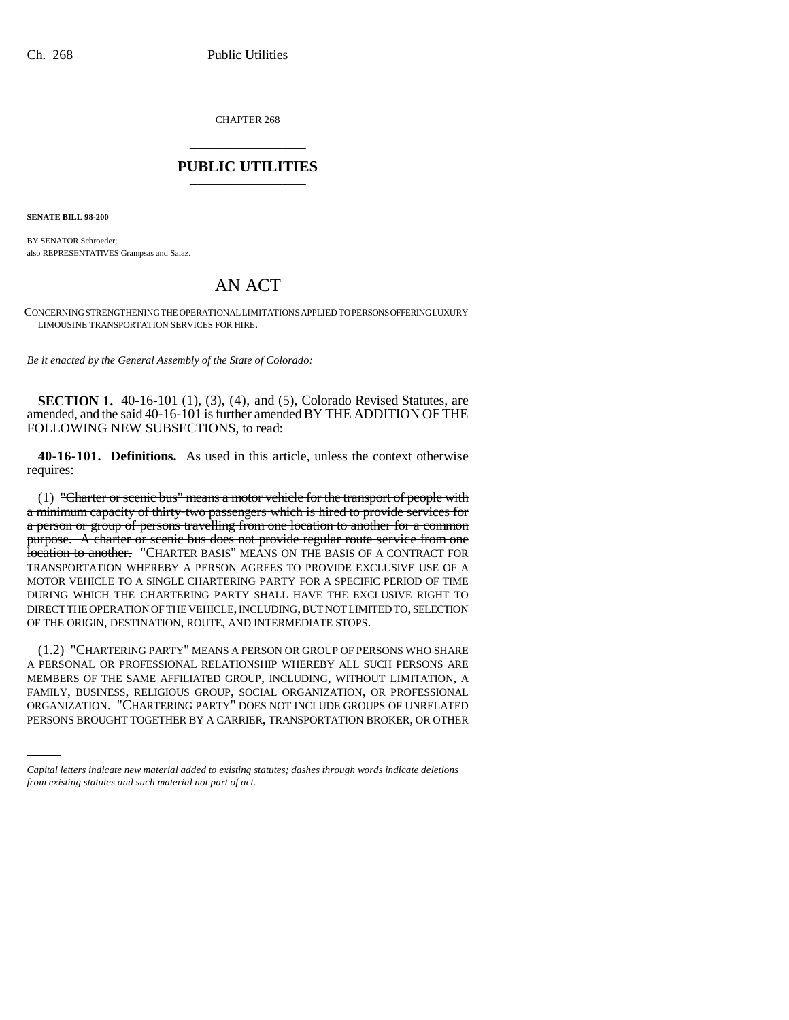CHAPTER 268 \_\_\_\_\_\_\_\_\_\_\_\_\_\_\_

## **PUBLIC UTILITIES** \_\_\_\_\_\_\_\_\_\_\_\_\_\_\_

**SENATE BILL 98-200**

BY SENATOR Schroeder; also REPRESENTATIVES Grampsas and Salaz.

# AN ACT

CONCERNING STRENGTHENING THE OPERATIONAL LIMITATIONS APPLIED TO PERSONS OFFERING LUXURY LIMOUSINE TRANSPORTATION SERVICES FOR HIRE.

*Be it enacted by the General Assembly of the State of Colorado:*

**SECTION 1.** 40-16-101 (1), (3), (4), and (5), Colorado Revised Statutes, are amended, and the said 40-16-101 is further amended BY THE ADDITION OF THE FOLLOWING NEW SUBSECTIONS, to read:

**40-16-101. Definitions.** As used in this article, unless the context otherwise requires:

 $(1)$  "Charter or seenic bus" means a motor vehicle for the transport of people with a minimum capacity of thirty-two passengers which is hired to provide services for a person or group of persons travelling from one location to another for a common purpose. A charter or scenic bus does not provide regular route service from one location to another. "CHARTER BASIS" MEANS ON THE BASIS OF A CONTRACT FOR TRANSPORTATION WHEREBY A PERSON AGREES TO PROVIDE EXCLUSIVE USE OF A MOTOR VEHICLE TO A SINGLE CHARTERING PARTY FOR A SPECIFIC PERIOD OF TIME DURING WHICH THE CHARTERING PARTY SHALL HAVE THE EXCLUSIVE RIGHT TO DIRECT THE OPERATION OF THE VEHICLE, INCLUDING, BUT NOT LIMITED TO, SELECTION OF THE ORIGIN, DESTINATION, ROUTE, AND INTERMEDIATE STOPS.

FAMILY, BUSINESS, RELIGIOUS GROUP, SOCIAL ORGANIZATION, OR PROFESSIONAL (1.2) "CHARTERING PARTY" MEANS A PERSON OR GROUP OF PERSONS WHO SHARE A PERSONAL OR PROFESSIONAL RELATIONSHIP WHEREBY ALL SUCH PERSONS ARE MEMBERS OF THE SAME AFFILIATED GROUP, INCLUDING, WITHOUT LIMITATION, A ORGANIZATION. "CHARTERING PARTY" DOES NOT INCLUDE GROUPS OF UNRELATED PERSONS BROUGHT TOGETHER BY A CARRIER, TRANSPORTATION BROKER, OR OTHER

*Capital letters indicate new material added to existing statutes; dashes through words indicate deletions from existing statutes and such material not part of act.*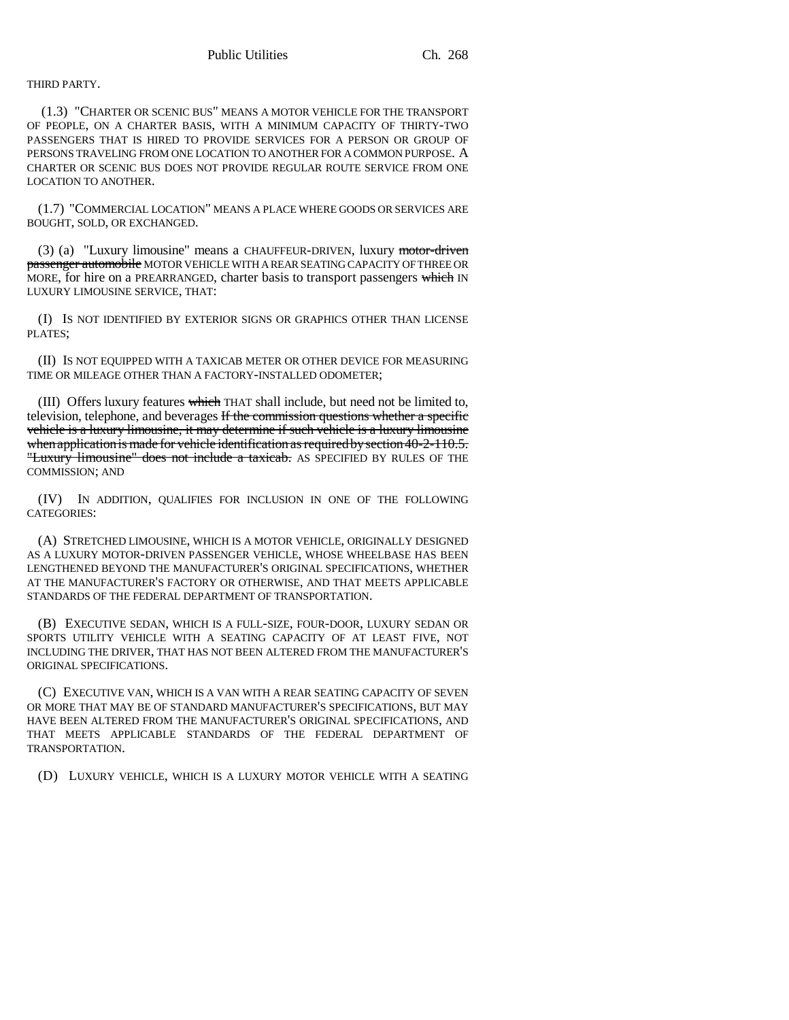THIRD PARTY.

 (1.3) "CHARTER OR SCENIC BUS" MEANS A MOTOR VEHICLE FOR THE TRANSPORT OF PEOPLE, ON A CHARTER BASIS, WITH A MINIMUM CAPACITY OF THIRTY-TWO PASSENGERS THAT IS HIRED TO PROVIDE SERVICES FOR A PERSON OR GROUP OF PERSONS TRAVELING FROM ONE LOCATION TO ANOTHER FOR A COMMON PURPOSE. A CHARTER OR SCENIC BUS DOES NOT PROVIDE REGULAR ROUTE SERVICE FROM ONE LOCATION TO ANOTHER.

(1.7) "COMMERCIAL LOCATION" MEANS A PLACE WHERE GOODS OR SERVICES ARE BOUGHT, SOLD, OR EXCHANGED.

(3) (a) "Luxury limousine" means a CHAUFFEUR-DRIVEN, luxury motor-driven passenger automobile MOTOR VEHICLE WITH A REAR SEATING CAPACITY OF THREE OR MORE, for hire on a PREARRANGED, charter basis to transport passengers which IN LUXURY LIMOUSINE SERVICE, THAT:

(I) IS NOT IDENTIFIED BY EXTERIOR SIGNS OR GRAPHICS OTHER THAN LICENSE PLATES;

(II) IS NOT EQUIPPED WITH A TAXICAB METER OR OTHER DEVICE FOR MEASURING TIME OR MILEAGE OTHER THAN A FACTORY-INSTALLED ODOMETER;

(III) Offers luxury features which THAT shall include, but need not be limited to, television, telephone, and beverages If the commission questions whether a specific vehicle is a luxury limousine, it may determine if such vehicle is a luxury limousine when application is made for vehicle identification as required by section 40-2-110.5. "Luxury limousine" does not include a taxicab. AS SPECIFIED BY RULES OF THE COMMISSION; AND

(IV) IN ADDITION, QUALIFIES FOR INCLUSION IN ONE OF THE FOLLOWING CATEGORIES:

(A) STRETCHED LIMOUSINE, WHICH IS A MOTOR VEHICLE, ORIGINALLY DESIGNED AS A LUXURY MOTOR-DRIVEN PASSENGER VEHICLE, WHOSE WHEELBASE HAS BEEN LENGTHENED BEYOND THE MANUFACTURER'S ORIGINAL SPECIFICATIONS, WHETHER AT THE MANUFACTURER'S FACTORY OR OTHERWISE, AND THAT MEETS APPLICABLE STANDARDS OF THE FEDERAL DEPARTMENT OF TRANSPORTATION.

(B) EXECUTIVE SEDAN, WHICH IS A FULL-SIZE, FOUR-DOOR, LUXURY SEDAN OR SPORTS UTILITY VEHICLE WITH A SEATING CAPACITY OF AT LEAST FIVE, NOT INCLUDING THE DRIVER, THAT HAS NOT BEEN ALTERED FROM THE MANUFACTURER'S ORIGINAL SPECIFICATIONS.

(C) EXECUTIVE VAN, WHICH IS A VAN WITH A REAR SEATING CAPACITY OF SEVEN OR MORE THAT MAY BE OF STANDARD MANUFACTURER'S SPECIFICATIONS, BUT MAY HAVE BEEN ALTERED FROM THE MANUFACTURER'S ORIGINAL SPECIFICATIONS, AND THAT MEETS APPLICABLE STANDARDS OF THE FEDERAL DEPARTMENT OF TRANSPORTATION.

(D) LUXURY VEHICLE, WHICH IS A LUXURY MOTOR VEHICLE WITH A SEATING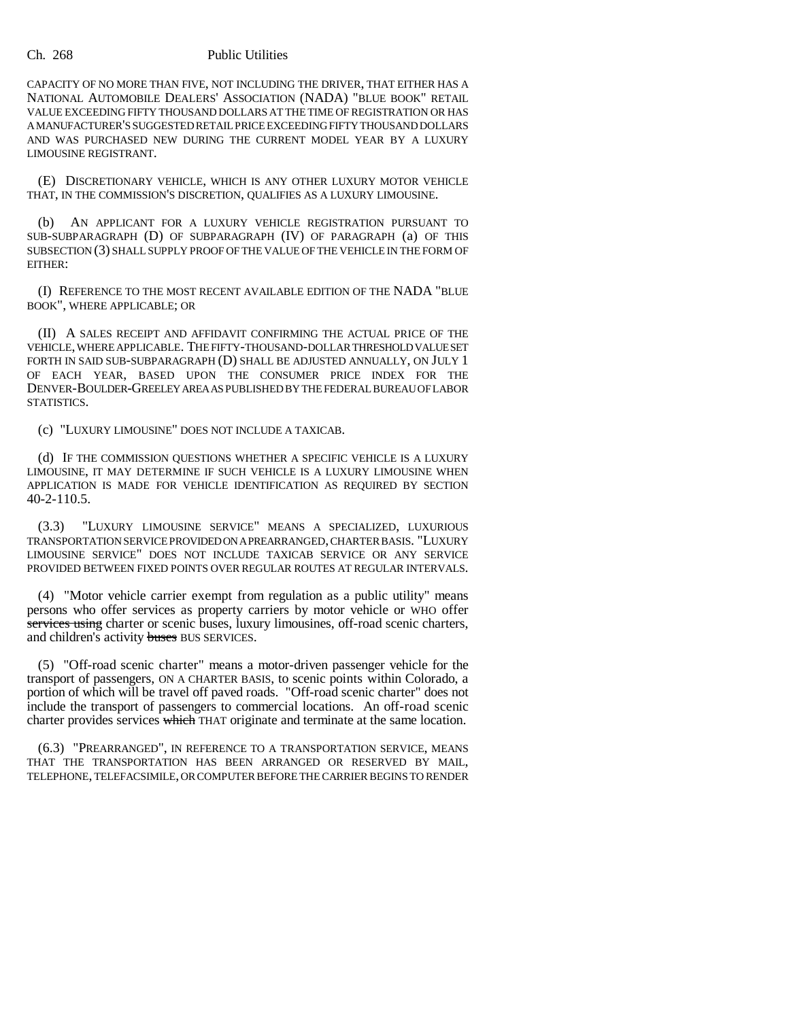#### Ch. 268 Public Utilities

CAPACITY OF NO MORE THAN FIVE, NOT INCLUDING THE DRIVER, THAT EITHER HAS A NATIONAL AUTOMOBILE DEALERS' ASSOCIATION (NADA) "BLUE BOOK" RETAIL VALUE EXCEEDING FIFTY THOUSAND DOLLARS AT THE TIME OF REGISTRATION OR HAS A MANUFACTURER'S SUGGESTED RETAIL PRICE EXCEEDING FIFTY THOUSAND DOLLARS AND WAS PURCHASED NEW DURING THE CURRENT MODEL YEAR BY A LUXURY LIMOUSINE REGISTRANT.

(E) DISCRETIONARY VEHICLE, WHICH IS ANY OTHER LUXURY MOTOR VEHICLE THAT, IN THE COMMISSION'S DISCRETION, QUALIFIES AS A LUXURY LIMOUSINE.

(b) AN APPLICANT FOR A LUXURY VEHICLE REGISTRATION PURSUANT TO SUB-SUBPARAGRAPH (D) OF SUBPARAGRAPH (IV) OF PARAGRAPH (a) OF THIS SUBSECTION (3) SHALL SUPPLY PROOF OF THE VALUE OF THE VEHICLE IN THE FORM OF EITHER:

(I) REFERENCE TO THE MOST RECENT AVAILABLE EDITION OF THE NADA "BLUE BOOK", WHERE APPLICABLE; OR

(II) A SALES RECEIPT AND AFFIDAVIT CONFIRMING THE ACTUAL PRICE OF THE VEHICLE, WHERE APPLICABLE. THE FIFTY-THOUSAND-DOLLAR THRESHOLD VALUE SET FORTH IN SAID SUB-SUBPARAGRAPH (D) SHALL BE ADJUSTED ANNUALLY, ON JULY 1 OF EACH YEAR, BASED UPON THE CONSUMER PRICE INDEX FOR THE DENVER-BOULDER-GREELEY AREA AS PUBLISHED BY THE FEDERAL BUREAU OF LABOR STATISTICS.

(c) "LUXURY LIMOUSINE" DOES NOT INCLUDE A TAXICAB.

(d) IF THE COMMISSION QUESTIONS WHETHER A SPECIFIC VEHICLE IS A LUXURY LIMOUSINE, IT MAY DETERMINE IF SUCH VEHICLE IS A LUXURY LIMOUSINE WHEN APPLICATION IS MADE FOR VEHICLE IDENTIFICATION AS REQUIRED BY SECTION 40-2-110.5.

(3.3) "LUXURY LIMOUSINE SERVICE" MEANS A SPECIALIZED, LUXURIOUS TRANSPORTATION SERVICE PROVIDED ON A PREARRANGED, CHARTER BASIS. "LUXURY LIMOUSINE SERVICE" DOES NOT INCLUDE TAXICAB SERVICE OR ANY SERVICE PROVIDED BETWEEN FIXED POINTS OVER REGULAR ROUTES AT REGULAR INTERVALS.

(4) "Motor vehicle carrier exempt from regulation as a public utility" means persons who offer services as property carriers by motor vehicle or WHO offer services using charter or scenic buses, luxury limousines, off-road scenic charters, and children's activity buses BUS SERVICES.

(5) "Off-road scenic charter" means a motor-driven passenger vehicle for the transport of passengers, ON A CHARTER BASIS, to scenic points within Colorado, a portion of which will be travel off paved roads. "Off-road scenic charter" does not include the transport of passengers to commercial locations. An off-road scenic charter provides services which THAT originate and terminate at the same location.

(6.3) "PREARRANGED", IN REFERENCE TO A TRANSPORTATION SERVICE, MEANS THAT THE TRANSPORTATION HAS BEEN ARRANGED OR RESERVED BY MAIL, TELEPHONE, TELEFACSIMILE, OR COMPUTER BEFORE THE CARRIER BEGINS TO RENDER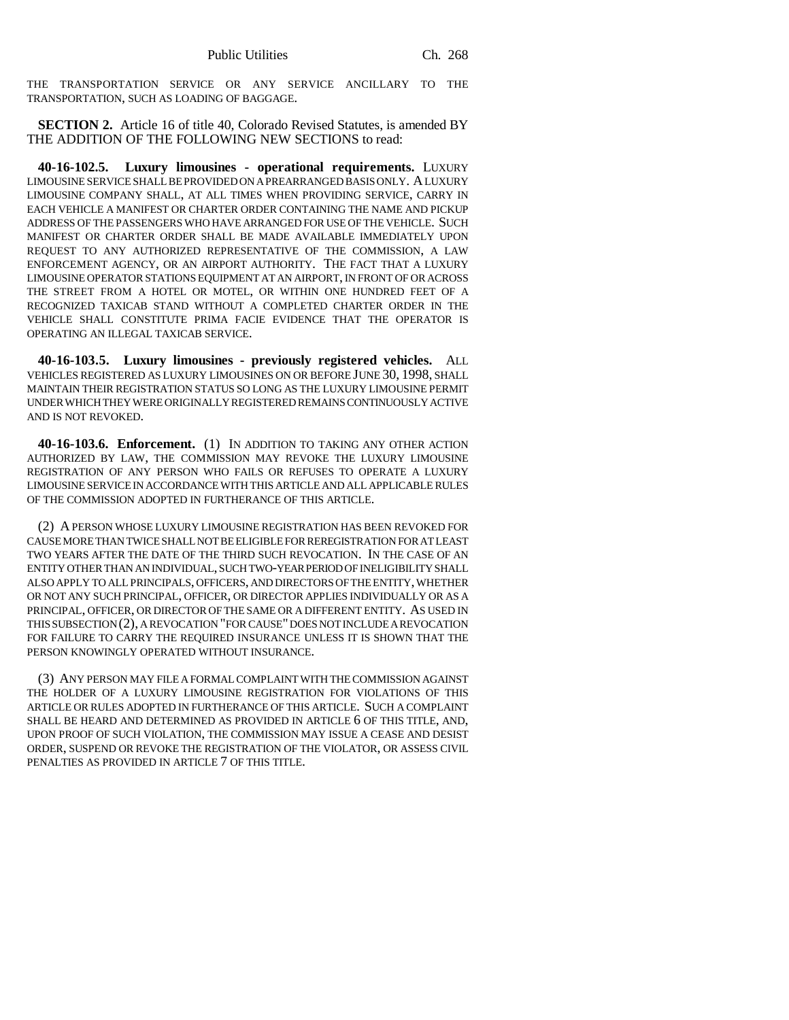THE TRANSPORTATION SERVICE OR ANY SERVICE ANCILLARY TO THE TRANSPORTATION, SUCH AS LOADING OF BAGGAGE.

**SECTION 2.** Article 16 of title 40, Colorado Revised Statutes, is amended BY THE ADDITION OF THE FOLLOWING NEW SECTIONS to read:

**40-16-102.5. Luxury limousines - operational requirements.** LUXURY LIMOUSINE SERVICE SHALL BE PROVIDED ON A PREARRANGED BASIS ONLY. A LUXURY LIMOUSINE COMPANY SHALL, AT ALL TIMES WHEN PROVIDING SERVICE, CARRY IN EACH VEHICLE A MANIFEST OR CHARTER ORDER CONTAINING THE NAME AND PICKUP ADDRESS OF THE PASSENGERS WHO HAVE ARRANGED FOR USE OF THE VEHICLE. SUCH MANIFEST OR CHARTER ORDER SHALL BE MADE AVAILABLE IMMEDIATELY UPON REQUEST TO ANY AUTHORIZED REPRESENTATIVE OF THE COMMISSION, A LAW ENFORCEMENT AGENCY, OR AN AIRPORT AUTHORITY. THE FACT THAT A LUXURY LIMOUSINE OPERATOR STATIONS EQUIPMENT AT AN AIRPORT, IN FRONT OF OR ACROSS THE STREET FROM A HOTEL OR MOTEL, OR WITHIN ONE HUNDRED FEET OF A RECOGNIZED TAXICAB STAND WITHOUT A COMPLETED CHARTER ORDER IN THE VEHICLE SHALL CONSTITUTE PRIMA FACIE EVIDENCE THAT THE OPERATOR IS OPERATING AN ILLEGAL TAXICAB SERVICE.

**40-16-103.5. Luxury limousines - previously registered vehicles.** ALL VEHICLES REGISTERED AS LUXURY LIMOUSINES ON OR BEFORE JUNE 30, 1998, SHALL MAINTAIN THEIR REGISTRATION STATUS SO LONG AS THE LUXURY LIMOUSINE PERMIT UNDER WHICH THEY WERE ORIGINALLY REGISTERED REMAINS CONTINUOUSLY ACTIVE AND IS NOT REVOKED.

**40-16-103.6. Enforcement.** (1) IN ADDITION TO TAKING ANY OTHER ACTION AUTHORIZED BY LAW, THE COMMISSION MAY REVOKE THE LUXURY LIMOUSINE REGISTRATION OF ANY PERSON WHO FAILS OR REFUSES TO OPERATE A LUXURY LIMOUSINE SERVICE IN ACCORDANCE WITH THIS ARTICLE AND ALL APPLICABLE RULES OF THE COMMISSION ADOPTED IN FURTHERANCE OF THIS ARTICLE.

(2) A PERSON WHOSE LUXURY LIMOUSINE REGISTRATION HAS BEEN REVOKED FOR CAUSE MORE THAN TWICE SHALL NOT BE ELIGIBLE FOR REREGISTRATION FOR AT LEAST TWO YEARS AFTER THE DATE OF THE THIRD SUCH REVOCATION. IN THE CASE OF AN ENTITY OTHER THAN AN INDIVIDUAL, SUCH TWO-YEAR PERIOD OF INELIGIBILITY SHALL ALSO APPLY TO ALL PRINCIPALS, OFFICERS, AND DIRECTORS OF THE ENTITY, WHETHER OR NOT ANY SUCH PRINCIPAL, OFFICER, OR DIRECTOR APPLIES INDIVIDUALLY OR AS A PRINCIPAL, OFFICER, OR DIRECTOR OF THE SAME OR A DIFFERENT ENTITY. AS USED IN THIS SUBSECTION (2), A REVOCATION "FOR CAUSE" DOES NOT INCLUDE A REVOCATION FOR FAILURE TO CARRY THE REQUIRED INSURANCE UNLESS IT IS SHOWN THAT THE PERSON KNOWINGLY OPERATED WITHOUT INSURANCE.

(3) ANY PERSON MAY FILE A FORMAL COMPLAINT WITH THE COMMISSION AGAINST THE HOLDER OF A LUXURY LIMOUSINE REGISTRATION FOR VIOLATIONS OF THIS ARTICLE OR RULES ADOPTED IN FURTHERANCE OF THIS ARTICLE. SUCH A COMPLAINT SHALL BE HEARD AND DETERMINED AS PROVIDED IN ARTICLE 6 OF THIS TITLE, AND, UPON PROOF OF SUCH VIOLATION, THE COMMISSION MAY ISSUE A CEASE AND DESIST ORDER, SUSPEND OR REVOKE THE REGISTRATION OF THE VIOLATOR, OR ASSESS CIVIL PENALTIES AS PROVIDED IN ARTICLE 7 OF THIS TITLE.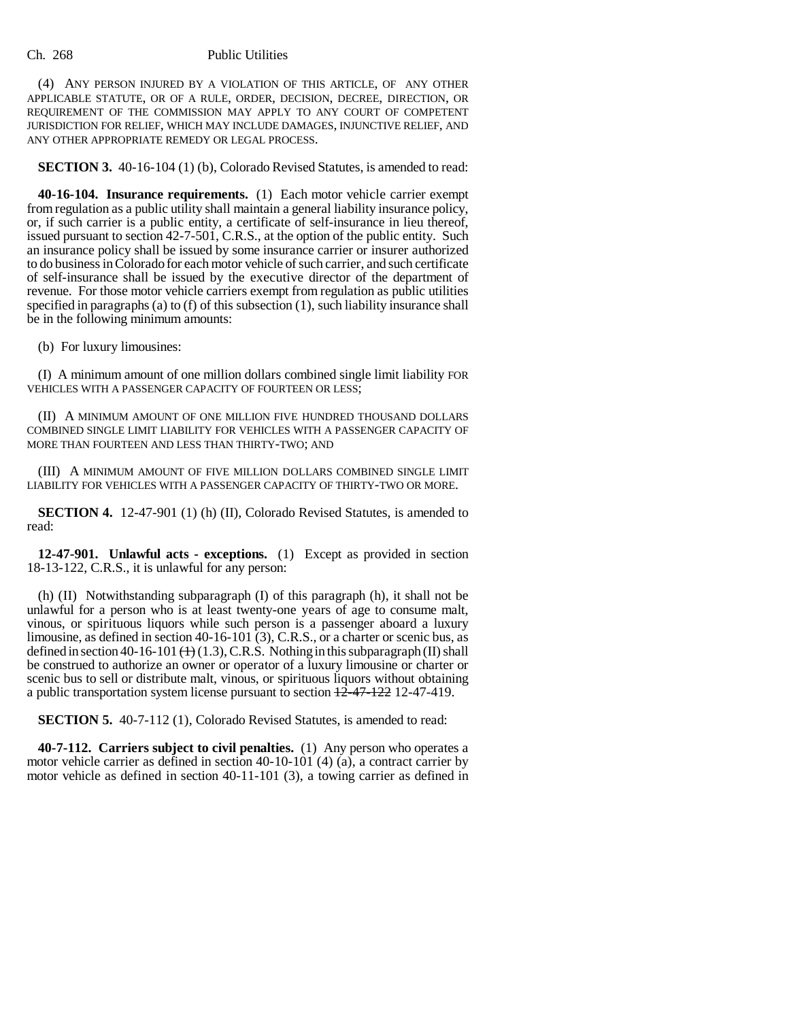### Ch. 268 Public Utilities

(4) ANY PERSON INJURED BY A VIOLATION OF THIS ARTICLE, OF ANY OTHER APPLICABLE STATUTE, OR OF A RULE, ORDER, DECISION, DECREE, DIRECTION, OR REQUIREMENT OF THE COMMISSION MAY APPLY TO ANY COURT OF COMPETENT JURISDICTION FOR RELIEF, WHICH MAY INCLUDE DAMAGES, INJUNCTIVE RELIEF, AND ANY OTHER APPROPRIATE REMEDY OR LEGAL PROCESS.

**SECTION 3.** 40-16-104 (1) (b), Colorado Revised Statutes, is amended to read:

**40-16-104. Insurance requirements.** (1) Each motor vehicle carrier exempt from regulation as a public utility shall maintain a general liability insurance policy, or, if such carrier is a public entity, a certificate of self-insurance in lieu thereof, issued pursuant to section 42-7-501, C.R.S., at the option of the public entity. Such an insurance policy shall be issued by some insurance carrier or insurer authorized to do business in Colorado for each motor vehicle of such carrier, and such certificate of self-insurance shall be issued by the executive director of the department of revenue. For those motor vehicle carriers exempt from regulation as public utilities specified in paragraphs (a) to (f) of this subsection (1), such liability insurance shall be in the following minimum amounts:

(b) For luxury limousines:

(I) A minimum amount of one million dollars combined single limit liability FOR VEHICLES WITH A PASSENGER CAPACITY OF FOURTEEN OR LESS;

(II) A MINIMUM AMOUNT OF ONE MILLION FIVE HUNDRED THOUSAND DOLLARS COMBINED SINGLE LIMIT LIABILITY FOR VEHICLES WITH A PASSENGER CAPACITY OF MORE THAN FOURTEEN AND LESS THAN THIRTY-TWO; AND

(III) A MINIMUM AMOUNT OF FIVE MILLION DOLLARS COMBINED SINGLE LIMIT LIABILITY FOR VEHICLES WITH A PASSENGER CAPACITY OF THIRTY-TWO OR MORE.

**SECTION 4.** 12-47-901 (1) (h) (II), Colorado Revised Statutes, is amended to read:

**12-47-901. Unlawful acts - exceptions.** (1) Except as provided in section 18-13-122, C.R.S., it is unlawful for any person:

(h) (II) Notwithstanding subparagraph (I) of this paragraph (h), it shall not be unlawful for a person who is at least twenty-one years of age to consume malt, vinous, or spirituous liquors while such person is a passenger aboard a luxury limousine, as defined in section 40-16-101 (3), C.R.S., or a charter or scenic bus, as defined in section 40-16-101  $(+)$  (1.3), C.R.S. Nothing in this subparagraph (II) shall be construed to authorize an owner or operator of a luxury limousine or charter or scenic bus to sell or distribute malt, vinous, or spirituous liquors without obtaining a public transportation system license pursuant to section 12-47-122 12-47-419.

**SECTION 5.** 40-7-112 (1), Colorado Revised Statutes, is amended to read:

**40-7-112. Carriers subject to civil penalties.** (1) Any person who operates a motor vehicle carrier as defined in section 40-10-101 (4) (a), a contract carrier by motor vehicle as defined in section 40-11-101 (3), a towing carrier as defined in